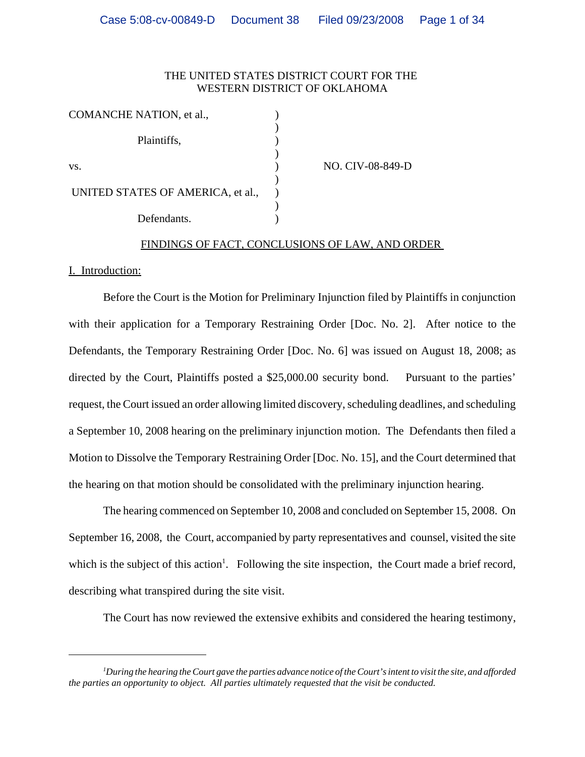# THE UNITED STATES DISTRICT COURT FOR THE WESTERN DISTRICT OF OKLAHOMA

| COMANCHE NATION, et al.,          |                  |
|-----------------------------------|------------------|
| Plaintiffs,                       |                  |
|                                   |                  |
| VS.                               | NO. CIV-08-849-D |
|                                   |                  |
| UNITED STATES OF AMERICA, et al., |                  |
|                                   |                  |
| Defendants.                       |                  |

# FINDINGS OF FACT, CONCLUSIONS OF LAW, AND ORDER

# I. Introduction:

Before the Court is the Motion for Preliminary Injunction filed by Plaintiffs in conjunction with their application for a Temporary Restraining Order [Doc. No. 2]. After notice to the Defendants, the Temporary Restraining Order [Doc. No. 6] was issued on August 18, 2008; as directed by the Court, Plaintiffs posted a \$25,000.00 security bond. Pursuant to the parties' request, the Court issued an order allowing limited discovery, scheduling deadlines, and scheduling a September 10, 2008 hearing on the preliminary injunction motion. The Defendants then filed a Motion to Dissolve the Temporary Restraining Order [Doc. No. 15], and the Court determined that the hearing on that motion should be consolidated with the preliminary injunction hearing.

The hearing commenced on September 10, 2008 and concluded on September 15, 2008. On September 16, 2008, the Court, accompanied by party representatives and counsel, visited the site which is the subject of this action<sup>1</sup>. Following the site inspection, the Court made a brief record, describing what transpired during the site visit.

The Court has now reviewed the extensive exhibits and considered the hearing testimony,

*<sup>1</sup> During the hearing the Court gave the parties advance notice of the Court's intent to visit the site, and afforded the parties an opportunity to object. All parties ultimately requested that the visit be conducted.*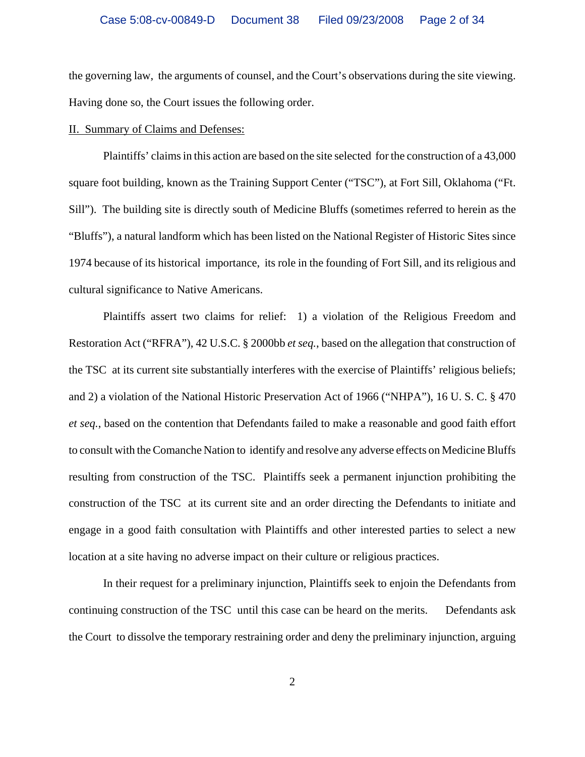the governing law, the arguments of counsel, and the Court's observations during the site viewing. Having done so, the Court issues the following order.

### II. Summary of Claims and Defenses:

Plaintiffs' claims in this action are based on the site selected for the construction of a 43,000 square foot building, known as the Training Support Center ("TSC"), at Fort Sill, Oklahoma ("Ft. Sill"). The building site is directly south of Medicine Bluffs (sometimes referred to herein as the "Bluffs"), a natural landform which has been listed on the National Register of Historic Sites since 1974 because of its historical importance, its role in the founding of Fort Sill, and its religious and cultural significance to Native Americans.

Plaintiffs assert two claims for relief: 1) a violation of the Religious Freedom and Restoration Act ("RFRA"), 42 U.S.C. § 2000bb *et seq.*, based on the allegation that construction of the TSC at its current site substantially interferes with the exercise of Plaintiffs' religious beliefs; and 2) a violation of the National Historic Preservation Act of 1966 ("NHPA"), 16 U. S. C. § 470 *et seq.*, based on the contention that Defendants failed to make a reasonable and good faith effort to consult with the Comanche Nation to identify and resolve any adverse effects on Medicine Bluffs resulting from construction of the TSC. Plaintiffs seek a permanent injunction prohibiting the construction of the TSC at its current site and an order directing the Defendants to initiate and engage in a good faith consultation with Plaintiffs and other interested parties to select a new location at a site having no adverse impact on their culture or religious practices.

In their request for a preliminary injunction, Plaintiffs seek to enjoin the Defendants from continuing construction of the TSC until this case can be heard on the merits. Defendants ask the Court to dissolve the temporary restraining order and deny the preliminary injunction, arguing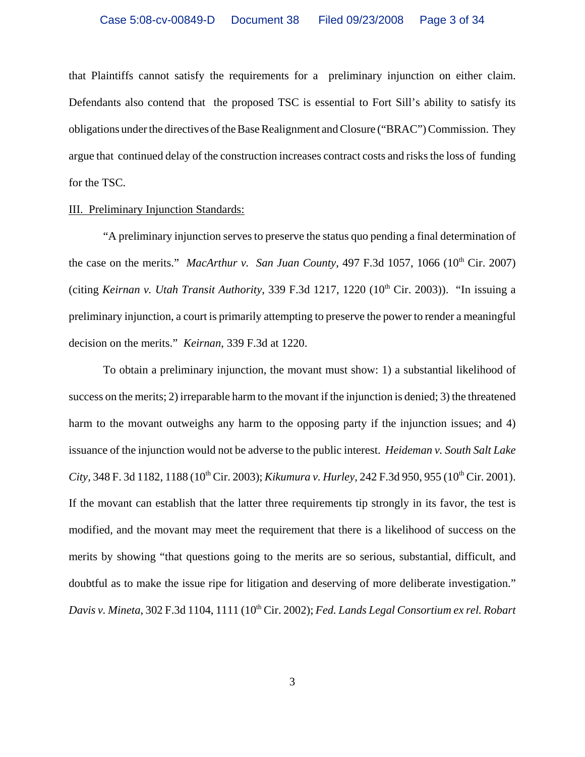that Plaintiffs cannot satisfy the requirements for a preliminary injunction on either claim. Defendants also contend that the proposed TSC is essential to Fort Sill's ability to satisfy its obligations under the directives of the Base Realignment and Closure ("BRAC") Commission. They argue that continued delay of the construction increases contract costs and risks the loss of funding for the TSC.

## III. Preliminary Injunction Standards:

"A preliminary injunction serves to preserve the status quo pending a final determination of the case on the merits." *MacArthur v. San Juan County*, 497 F.3d 1057, 1066 (10<sup>th</sup> Cir. 2007) (citing *Keirnan v. Utah Transit Authority*, 339 F.3d 1217, 1220 (10th Cir. 2003)). "In issuing a preliminary injunction, a court is primarily attempting to preserve the power to render a meaningful decision on the merits." *Keirnan*, 339 F.3d at 1220.

To obtain a preliminary injunction, the movant must show: 1) a substantial likelihood of success on the merits; 2) irreparable harm to the movant if the injunction is denied; 3) the threatened harm to the movant outweighs any harm to the opposing party if the injunction issues; and 4) issuance of the injunction would not be adverse to the public interest. *Heideman v. South Salt Lake City, 348 F. 3d 1182, 1188 (10<sup>th</sup> Cir. 2003); <i>Kikumura v. Hurley, 242 F.3d 950, 955 (10<sup>th</sup> Cir. 2001).* If the movant can establish that the latter three requirements tip strongly in its favor, the test is modified, and the movant may meet the requirement that there is a likelihood of success on the merits by showing "that questions going to the merits are so serious, substantial, difficult, and doubtful as to make the issue ripe for litigation and deserving of more deliberate investigation." *Davis v. Mineta*, 302 F.3d 1104, 1111 (10th Cir. 2002); *Fed. Lands Legal Consortium ex rel. Robart*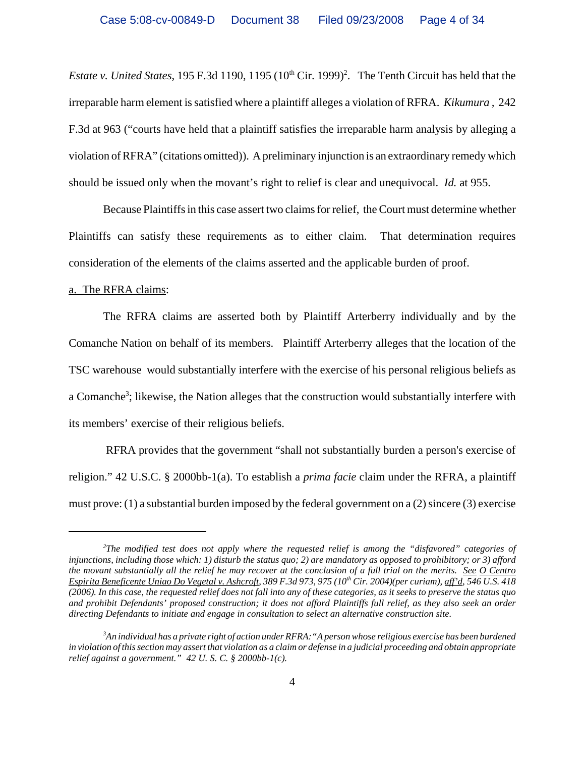*Estate v. United States*, 195 F.3d 1190, 1195  $(10<sup>th</sup> Cir. 1999)<sup>2</sup>$ . The Tenth Circuit has held that the irreparable harm element is satisfied where a plaintiff alleges a violation of RFRA. *Kikumura ,* 242 F.3d at 963 ("courts have held that a plaintiff satisfies the irreparable harm analysis by alleging a violation of RFRA" (citations omitted)). A preliminary injunction is an extraordinary remedy which should be issued only when the movant's right to relief is clear and unequivocal. *Id.* at 955.

Because Plaintiffs in this case assert two claims for relief, the Court must determine whether Plaintiffs can satisfy these requirements as to either claim. That determination requires consideration of the elements of the claims asserted and the applicable burden of proof.

## a. The RFRA claims:

The RFRA claims are asserted both by Plaintiff Arterberry individually and by the Comanche Nation on behalf of its members. Plaintiff Arterberry alleges that the location of the TSC warehouse would substantially interfere with the exercise of his personal religious beliefs as a Comanche<sup>3</sup>; likewise, the Nation alleges that the construction would substantially interfere with its members' exercise of their religious beliefs.

 RFRA provides that the government "shall not substantially burden a person's exercise of religion." 42 U.S.C. § 2000bb-1(a). To establish a *prima facie* claim under the RFRA, a plaintiff must prove: (1) a substantial burden imposed by the federal government on a  $(2)$  sincere  $(3)$  exercise

*<sup>2</sup> The modified test does not apply where the requested relief is among the "disfavored" categories of injunctions, including those which: 1) disturb the status quo; 2) are mandatory as opposed to prohibitory; or 3) afford the movant substantially all the relief he may recover at the conclusion of a full trial on the merits. See O Centro Espirita Beneficente Uniao Do Vegetal v. Ashcroft, 389 F.3d 973, 975 (10th Cir. 2004)(per curiam), aff'd, 546 U.S. 418 (2006). In this case, the requested relief does not fall into any of these categories, as it seeks to preserve the status quo and prohibit Defendants' proposed construction; it does not afford Plaintiffs full relief, as they also seek an order directing Defendants to initiate and engage in consultation to select an alternative construction site.* 

*<sup>3</sup> An individual has a private right of action under RFRA:"A person whose religious exercise has been burdened in violation of this section may assert that violation as a claim or defense in a judicial proceeding and obtain appropriate relief against a government." 42 U. S. C. § 2000bb-1(c).*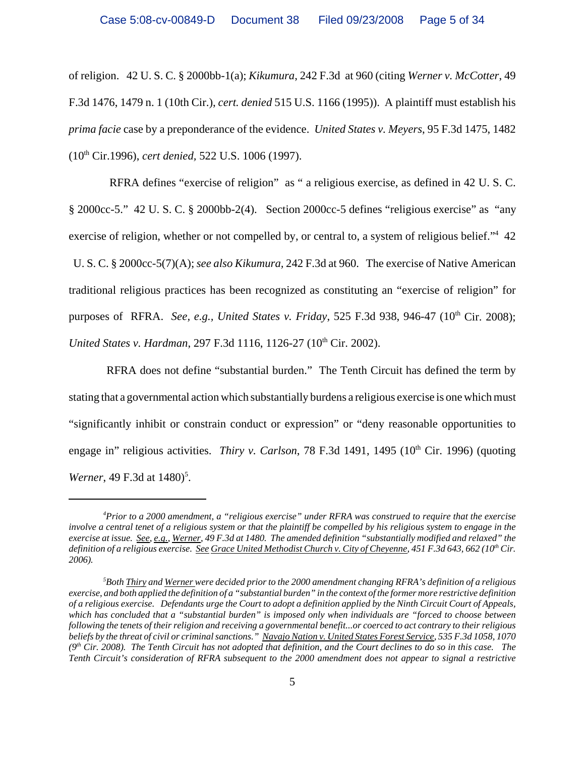of religion. 42 U. S. C. § 2000bb-1(a); *Kikumura*, 242 F.3d at 960 (citing *Werner v. McCotter*, 49 F.3d 1476, 1479 n. 1 (10th Cir.), *cert. denied* 515 U.S. 1166 (1995)). A plaintiff must establish his *prima facie* case by a preponderance of the evidence. *United States v. Meyers*, 95 F.3d 1475, 1482 (10th Cir.1996), *cert denied,* 522 U.S. 1006 (1997).

 RFRA defines "exercise of religion" as " a religious exercise, as defined in 42 U. S. C. § 2000cc-5." 42 U. S. C. § 2000bb-2(4). Section 2000cc-5 defines "religious exercise" as "any exercise of religion, whether or not compelled by, or central to, a system of religious belief."<sup>4</sup> 42 U. S. C. § 2000cc-5(7)(A); *see also Kikumura,* 242 F.3d at 960. The exercise of Native American traditional religious practices has been recognized as constituting an "exercise of religion" for purposes of RFRA. *See, e.g., United States v. Friday*, 525 F.3d 938, 946-47 (10<sup>th</sup> Cir. 2008); *United States v. Hardman, 297 F.3d 1116, 1126-27 (10<sup>th</sup> Cir. 2002).* 

RFRA does not define "substantial burden." The Tenth Circuit has defined the term by stating that a governmental action which substantially burdens a religious exercise is one which must "significantly inhibit or constrain conduct or expression" or "deny reasonable opportunities to engage in" religious activities. *Thiry v. Carlson*, 78 F.3d 1491, 1495 (10<sup>th</sup> Cir. 1996) (quoting *Werner*, 49 F.3d at 1480)<sup>5</sup>.

*<sup>4</sup> Prior to a 2000 amendment, a "religious exercise" under RFRA was construed to require that the exercise involve a central tenet of a religious system or that the plaintiff be compelled by his religious system to engage in the exercise at issue. See, e.g., Werner, 49 F.3d at 1480. The amended definition "substantially modified and relaxed" the* definition of a religious exercise. See Grace United Methodist Church v. City of Cheyenne, 451 F.3d 643, 662 (10<sup>th</sup> Cir. *2006).* 

*<sup>5</sup> Both Thiry and Werner were decided prior to the 2000 amendment changing RFRA's definition of a religious exercise, and both applied the definition of a "substantial burden" in the context of the former more restrictive definition of a religious exercise. Defendants urge the Court to adopt a definition applied by the Ninth Circuit Court of Appeals, which has concluded that a "substantial burden" is imposed only when individuals are "forced to choose between following the tenets of their religion and receiving a governmental benefit...or coerced to act contrary to their religious beliefs by the threat of civil or criminal sanctions." Navajo Nation v. United States Forest Service, 535 F.3d 1058, 1070*  $(9<sup>th</sup> Cir. 2008)$ . The Tenth Circuit has not adopted that definition, and the Court declines to do so in this case. The *Tenth Circuit's consideration of RFRA subsequent to the 2000 amendment does not appear to signal a restrictive*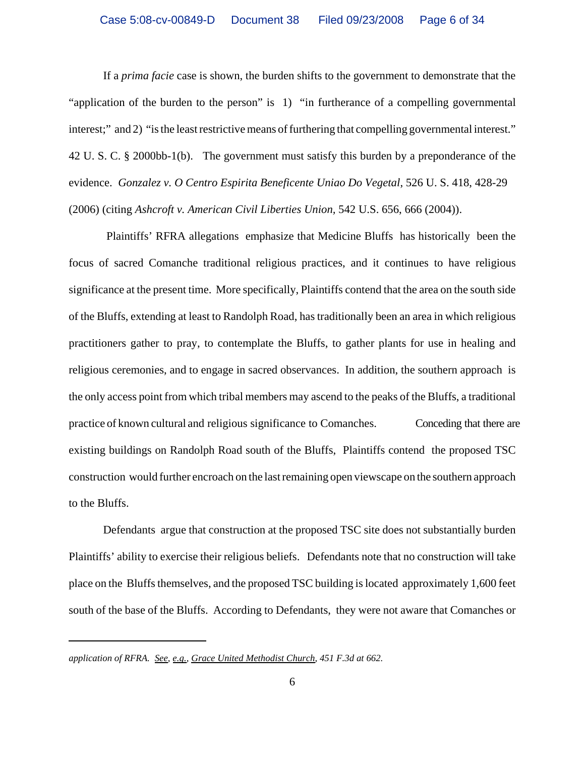If a *prima facie* case is shown, the burden shifts to the government to demonstrate that the "application of the burden to the person" is 1) "in furtherance of a compelling governmental interest;" and 2) "is the least restrictive means of furthering that compelling governmental interest." 42 U. S. C. § 2000bb-1(b). The government must satisfy this burden by a preponderance of the evidence. *Gonzalez v. O Centro Espirita Beneficente Uniao Do Vegetal*, 526 U. S. 418, 428-29 (2006) (citing *Ashcroft v. American Civil Liberties Union,* 542 U.S. 656, 666 (2004)).

 Plaintiffs' RFRA allegations emphasize that Medicine Bluffs has historically been the focus of sacred Comanche traditional religious practices, and it continues to have religious significance at the present time. More specifically, Plaintiffs contend that the area on the south side of the Bluffs, extending at least to Randolph Road, has traditionally been an area in which religious practitioners gather to pray, to contemplate the Bluffs, to gather plants for use in healing and religious ceremonies, and to engage in sacred observances. In addition, the southern approach is the only access point from which tribal members may ascend to the peaks of the Bluffs, a traditional practice of known cultural and religious significance to Comanches. Conceding that there are existing buildings on Randolph Road south of the Bluffs, Plaintiffs contend the proposed TSC construction would further encroach on the last remaining open viewscape on the southern approach to the Bluffs.

Defendants argue that construction at the proposed TSC site does not substantially burden Plaintiffs' ability to exercise their religious beliefs. Defendants note that no construction will take place on the Bluffs themselves, and the proposed TSC building is located approximately 1,600 feet south of the base of the Bluffs. According to Defendants, they were not aware that Comanches or

*application of RFRA. See, e.g., Grace United Methodist Church, 451 F.3d at 662.*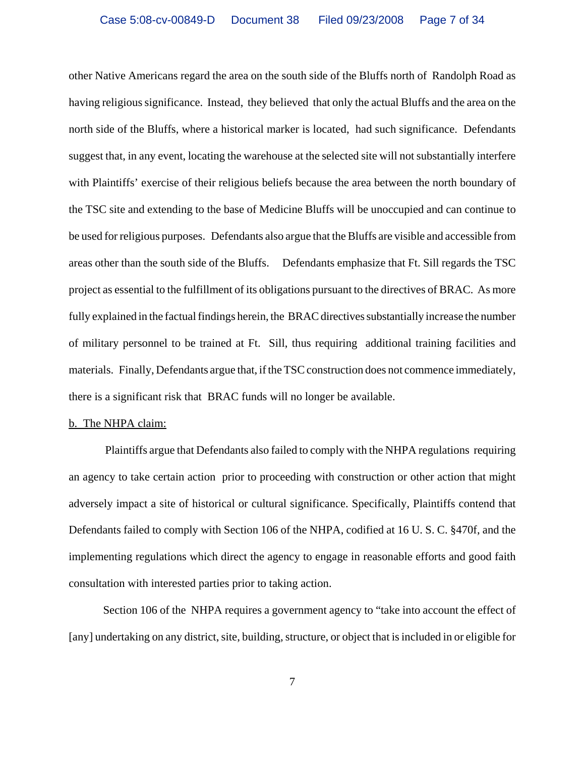other Native Americans regard the area on the south side of the Bluffs north of Randolph Road as having religious significance. Instead, they believed that only the actual Bluffs and the area on the north side of the Bluffs, where a historical marker is located, had such significance. Defendants suggest that, in any event, locating the warehouse at the selected site will not substantially interfere with Plaintiffs' exercise of their religious beliefs because the area between the north boundary of the TSC site and extending to the base of Medicine Bluffs will be unoccupied and can continue to be used for religious purposes. Defendants also argue that the Bluffs are visible and accessible from areas other than the south side of the Bluffs. Defendants emphasize that Ft. Sill regards the TSC project as essential to the fulfillment of its obligations pursuant to the directives of BRAC. As more fully explained in the factual findings herein, the BRAC directives substantially increase the number of military personnel to be trained at Ft. Sill, thus requiring additional training facilities and materials. Finally, Defendants argue that, if the TSC construction does not commence immediately, there is a significant risk that BRAC funds will no longer be available.

#### b. The NHPA claim:

 Plaintiffs argue that Defendants also failed to comply with the NHPA regulations requiring an agency to take certain action prior to proceeding with construction or other action that might adversely impact a site of historical or cultural significance. Specifically, Plaintiffs contend that Defendants failed to comply with Section 106 of the NHPA, codified at 16 U. S. C. §470f, and the implementing regulations which direct the agency to engage in reasonable efforts and good faith consultation with interested parties prior to taking action.

Section 106 of the NHPA requires a government agency to "take into account the effect of [any] undertaking on any district, site, building, structure, or object that is included in or eligible for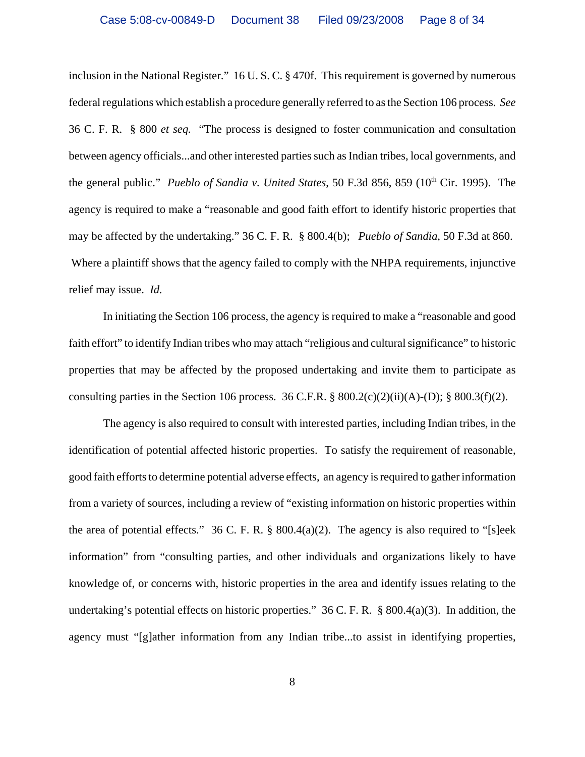inclusion in the National Register." 16 U. S. C. § 470f. This requirement is governed by numerous federal regulations which establish a procedure generally referred to as the Section 106 process. *See* 36 C. F. R. § 800 *et seq.* "The process is designed to foster communication and consultation between agency officials...and other interested parties such as Indian tribes, local governments, and the general public." *Pueblo of Sandia v. United States*, 50 F.3d 856, 859 (10<sup>th</sup> Cir. 1995). The agency is required to make a "reasonable and good faith effort to identify historic properties that may be affected by the undertaking." 36 C. F. R. § 800.4(b); *Pueblo of Sandia*, 50 F.3d at 860. Where a plaintiff shows that the agency failed to comply with the NHPA requirements, injunctive relief may issue. *Id.* 

In initiating the Section 106 process, the agency is required to make a "reasonable and good faith effort" to identify Indian tribes who may attach "religious and cultural significance" to historic properties that may be affected by the proposed undertaking and invite them to participate as consulting parties in the Section 106 process. 36 C.F.R.  $\S 800.2(c)(2)(ii)(A)$ -(D);  $\S 800.3(f)(2)$ .

The agency is also required to consult with interested parties, including Indian tribes, in the identification of potential affected historic properties. To satisfy the requirement of reasonable, good faith efforts to determine potential adverse effects, an agency is required to gather information from a variety of sources, including a review of "existing information on historic properties within the area of potential effects." 36 C. F. R. §  $800.4(a)(2)$ . The agency is also required to "[s]eek information" from "consulting parties, and other individuals and organizations likely to have knowledge of, or concerns with, historic properties in the area and identify issues relating to the undertaking's potential effects on historic properties."  $36$  C. F. R. § 800.4(a)(3). In addition, the agency must "[g]ather information from any Indian tribe...to assist in identifying properties,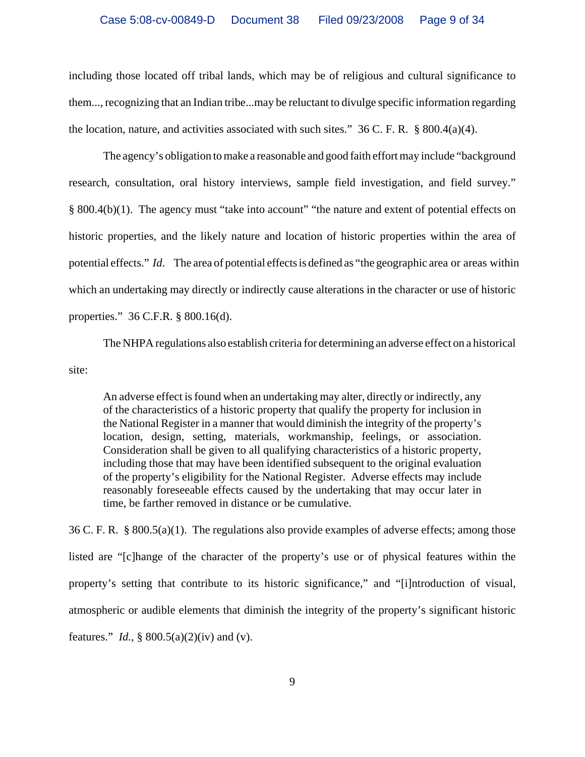including those located off tribal lands, which may be of religious and cultural significance to them..., recognizing that an Indian tribe...may be reluctant to divulge specific information regarding the location, nature, and activities associated with such sites."  $36$  C. F. R.  $\S$  800.4(a)(4).

The agency's obligation to make a reasonable and good faith effort may include "background research, consultation, oral history interviews, sample field investigation, and field survey." § 800.4(b)(1). The agency must "take into account" "the nature and extent of potential effects on historic properties, and the likely nature and location of historic properties within the area of potential effects." *Id*. The area of potential effects is defined as "the geographic area or areas within which an undertaking may directly or indirectly cause alterations in the character or use of historic properties." 36 C.F.R. § 800.16(d).

The NHPA regulations also establish criteria for determining an adverse effect on a historical site:

An adverse effect is found when an undertaking may alter, directly or indirectly, any of the characteristics of a historic property that qualify the property for inclusion in the National Register in a manner that would diminish the integrity of the property's location, design, setting, materials, workmanship, feelings, or association. Consideration shall be given to all qualifying characteristics of a historic property, including those that may have been identified subsequent to the original evaluation of the property's eligibility for the National Register. Adverse effects may include reasonably foreseeable effects caused by the undertaking that may occur later in time, be farther removed in distance or be cumulative.

36 C. F. R. § 800.5(a)(1). The regulations also provide examples of adverse effects; among those listed are "[c]hange of the character of the property's use or of physical features within the property's setting that contribute to its historic significance," and "[i]ntroduction of visual, atmospheric or audible elements that diminish the integrity of the property's significant historic features." *Id.,* § 800.5(a)(2)(iv) and (v).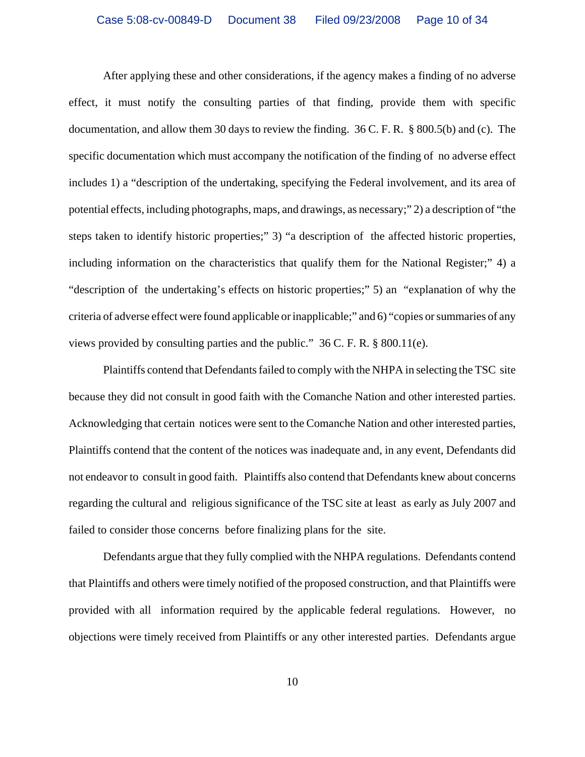After applying these and other considerations, if the agency makes a finding of no adverse effect, it must notify the consulting parties of that finding, provide them with specific documentation, and allow them 30 days to review the finding. 36 C. F. R. § 800.5(b) and (c). The specific documentation which must accompany the notification of the finding of no adverse effect includes 1) a "description of the undertaking, specifying the Federal involvement, and its area of potential effects, including photographs, maps, and drawings, as necessary;" 2) a description of "the steps taken to identify historic properties;" 3) "a description of the affected historic properties, including information on the characteristics that qualify them for the National Register;" 4) a "description of the undertaking's effects on historic properties;" 5) an "explanation of why the criteria of adverse effect were found applicable or inapplicable;" and 6) "copies or summaries of any views provided by consulting parties and the public." 36 C. F. R. § 800.11(e).

Plaintiffs contend that Defendants failed to comply with the NHPA in selecting the TSC site because they did not consult in good faith with the Comanche Nation and other interested parties. Acknowledging that certain notices were sent to the Comanche Nation and other interested parties, Plaintiffs contend that the content of the notices was inadequate and, in any event, Defendants did not endeavor to consult in good faith. Plaintiffs also contend that Defendants knew about concerns regarding the cultural and religious significance of the TSC site at least as early as July 2007 and failed to consider those concerns before finalizing plans for the site.

Defendants argue that they fully complied with the NHPA regulations. Defendants contend that Plaintiffs and others were timely notified of the proposed construction, and that Plaintiffs were provided with all information required by the applicable federal regulations. However, no objections were timely received from Plaintiffs or any other interested parties. Defendants argue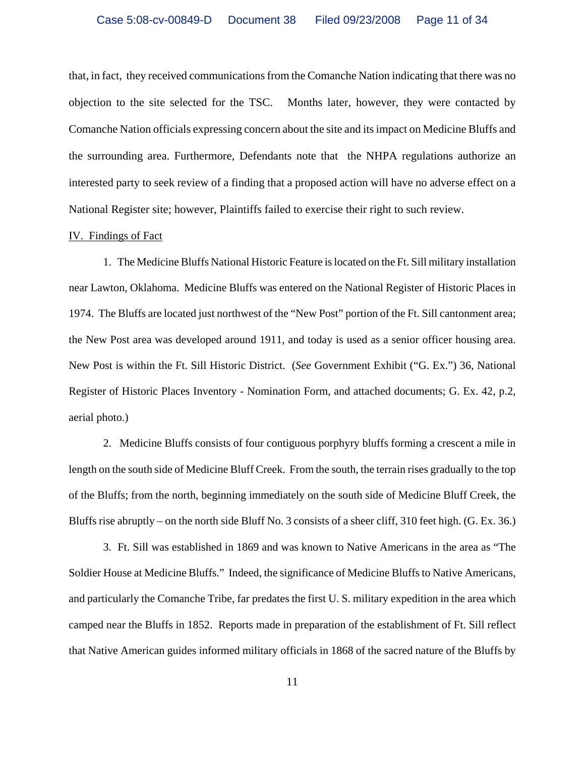that, in fact, they received communications from the Comanche Nation indicating that there was no objection to the site selected for the TSC. Months later, however, they were contacted by Comanche Nation officials expressing concern about the site and its impact on Medicine Bluffs and the surrounding area. Furthermore, Defendants note that the NHPA regulations authorize an interested party to seek review of a finding that a proposed action will have no adverse effect on a National Register site; however, Plaintiffs failed to exercise their right to such review.

### IV. Findings of Fact

1. The Medicine Bluffs National Historic Feature is located on the Ft. Sill military installation near Lawton, Oklahoma. Medicine Bluffs was entered on the National Register of Historic Places in 1974. The Bluffs are located just northwest of the "New Post" portion of the Ft. Sill cantonment area; the New Post area was developed around 1911, and today is used as a senior officer housing area. New Post is within the Ft. Sill Historic District. (*See* Government Exhibit ("G. Ex.") 36, National Register of Historic Places Inventory - Nomination Form, and attached documents; G. Ex. 42, p.2, aerial photo.)

2. Medicine Bluffs consists of four contiguous porphyry bluffs forming a crescent a mile in length on the south side of Medicine Bluff Creek. From the south, the terrain rises gradually to the top of the Bluffs; from the north, beginning immediately on the south side of Medicine Bluff Creek, the Bluffs rise abruptly – on the north side Bluff No. 3 consists of a sheer cliff, 310 feet high. (G. Ex. 36.)

3. Ft. Sill was established in 1869 and was known to Native Americans in the area as "The Soldier House at Medicine Bluffs." Indeed, the significance of Medicine Bluffs to Native Americans, and particularly the Comanche Tribe, far predates the first U. S. military expedition in the area which camped near the Bluffs in 1852. Reports made in preparation of the establishment of Ft. Sill reflect that Native American guides informed military officials in 1868 of the sacred nature of the Bluffs by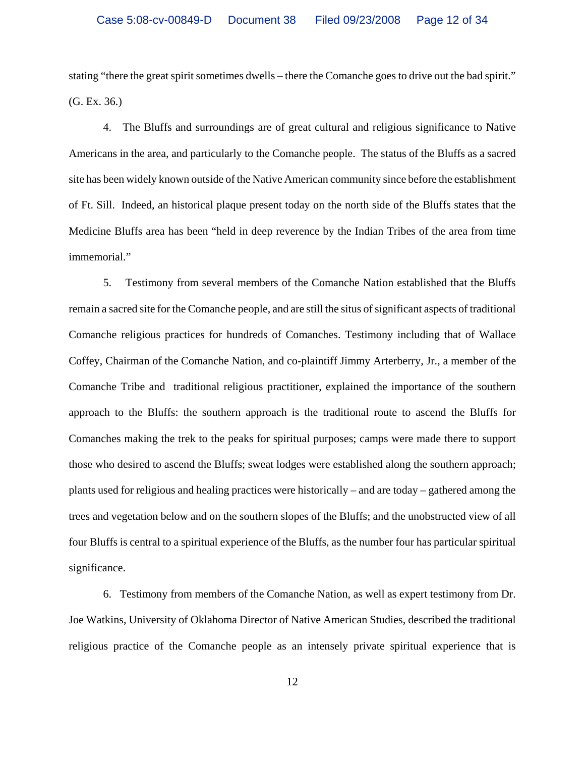stating "there the great spirit sometimes dwells – there the Comanche goes to drive out the bad spirit." (G. Ex. 36.)

4. The Bluffs and surroundings are of great cultural and religious significance to Native Americans in the area, and particularly to the Comanche people. The status of the Bluffs as a sacred site has been widely known outside of the Native American community since before the establishment of Ft. Sill. Indeed, an historical plaque present today on the north side of the Bluffs states that the Medicine Bluffs area has been "held in deep reverence by the Indian Tribes of the area from time immemorial."

5. Testimony from several members of the Comanche Nation established that the Bluffs remain a sacred site for the Comanche people, and are still the situs of significant aspects of traditional Comanche religious practices for hundreds of Comanches. Testimony including that of Wallace Coffey, Chairman of the Comanche Nation, and co-plaintiff Jimmy Arterberry, Jr., a member of the Comanche Tribe and traditional religious practitioner, explained the importance of the southern approach to the Bluffs: the southern approach is the traditional route to ascend the Bluffs for Comanches making the trek to the peaks for spiritual purposes; camps were made there to support those who desired to ascend the Bluffs; sweat lodges were established along the southern approach; plants used for religious and healing practices were historically – and are today – gathered among the trees and vegetation below and on the southern slopes of the Bluffs; and the unobstructed view of all four Bluffs is central to a spiritual experience of the Bluffs, as the number four has particular spiritual significance.

6. Testimony from members of the Comanche Nation, as well as expert testimony from Dr. Joe Watkins, University of Oklahoma Director of Native American Studies, described the traditional religious practice of the Comanche people as an intensely private spiritual experience that is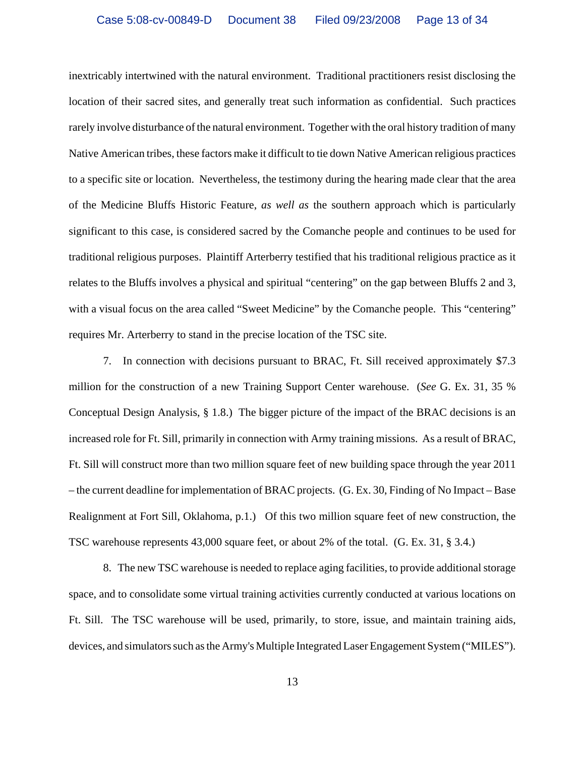inextricably intertwined with the natural environment. Traditional practitioners resist disclosing the location of their sacred sites, and generally treat such information as confidential. Such practices rarely involve disturbance of the natural environment. Together with the oral history tradition of many Native American tribes, these factors make it difficult to tie down Native American religious practices to a specific site or location. Nevertheless, the testimony during the hearing made clear that the area of the Medicine Bluffs Historic Feature, *as well as* the southern approach which is particularly significant to this case, is considered sacred by the Comanche people and continues to be used for traditional religious purposes. Plaintiff Arterberry testified that his traditional religious practice as it relates to the Bluffs involves a physical and spiritual "centering" on the gap between Bluffs 2 and 3, with a visual focus on the area called "Sweet Medicine" by the Comanche people. This "centering" requires Mr. Arterberry to stand in the precise location of the TSC site.

7. In connection with decisions pursuant to BRAC, Ft. Sill received approximately \$7.3 million for the construction of a new Training Support Center warehouse. (*See* G. Ex. 31, 35 % Conceptual Design Analysis, § 1.8.) The bigger picture of the impact of the BRAC decisions is an increased role for Ft. Sill, primarily in connection with Army training missions. As a result of BRAC, Ft. Sill will construct more than two million square feet of new building space through the year 2011 – the current deadline for implementation of BRAC projects. (G. Ex. 30, Finding of No Impact – Base Realignment at Fort Sill, Oklahoma, p.1.) Of this two million square feet of new construction, the TSC warehouse represents 43,000 square feet, or about 2% of the total. (G. Ex. 31, § 3.4.)

8. The new TSC warehouse is needed to replace aging facilities, to provide additional storage space, and to consolidate some virtual training activities currently conducted at various locations on Ft. Sill. The TSC warehouse will be used, primarily, to store, issue, and maintain training aids, devices, and simulators such as the Army's Multiple Integrated Laser Engagement System ("MILES").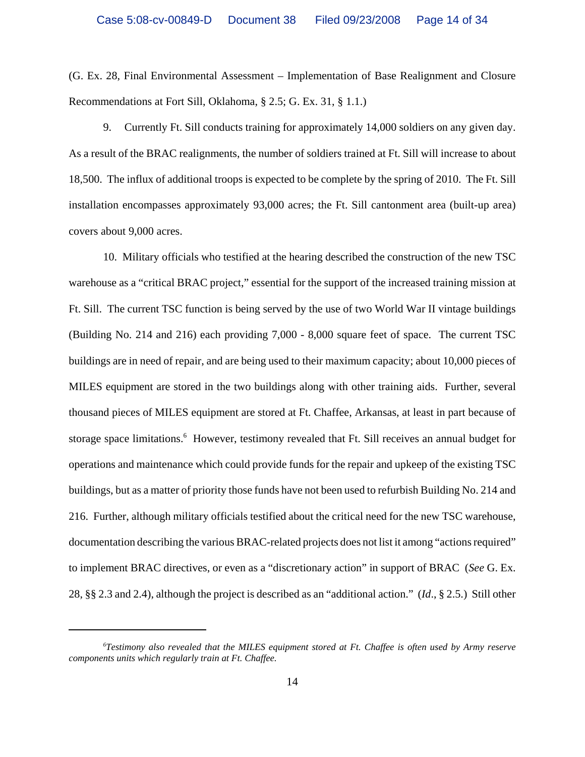(G. Ex. 28, Final Environmental Assessment – Implementation of Base Realignment and Closure Recommendations at Fort Sill, Oklahoma, § 2.5; G. Ex. 31, § 1.1.)

9. Currently Ft. Sill conducts training for approximately 14,000 soldiers on any given day. As a result of the BRAC realignments, the number of soldiers trained at Ft. Sill will increase to about 18,500. The influx of additional troops is expected to be complete by the spring of 2010. The Ft. Sill installation encompasses approximately 93,000 acres; the Ft. Sill cantonment area (built-up area) covers about 9,000 acres.

10. Military officials who testified at the hearing described the construction of the new TSC warehouse as a "critical BRAC project," essential for the support of the increased training mission at Ft. Sill. The current TSC function is being served by the use of two World War II vintage buildings (Building No. 214 and 216) each providing 7,000 - 8,000 square feet of space. The current TSC buildings are in need of repair, and are being used to their maximum capacity; about 10,000 pieces of MILES equipment are stored in the two buildings along with other training aids. Further, several thousand pieces of MILES equipment are stored at Ft. Chaffee, Arkansas, at least in part because of storage space limitations.<sup>6</sup> However, testimony revealed that Ft. Sill receives an annual budget for operations and maintenance which could provide funds for the repair and upkeep of the existing TSC buildings, but as a matter of priority those funds have not been used to refurbish Building No. 214 and 216. Further, although military officials testified about the critical need for the new TSC warehouse, documentation describing the various BRAC-related projects does not list it among "actions required" to implement BRAC directives, or even as a "discretionary action" in support of BRAC (*See* G. Ex. 28, §§ 2.3 and 2.4), although the project is described as an "additional action." (*Id*., § 2.5.) Still other

*<sup>6</sup> Testimony also revealed that the MILES equipment stored at Ft. Chaffee is often used by Army reserve components units which regularly train at Ft. Chaffee.*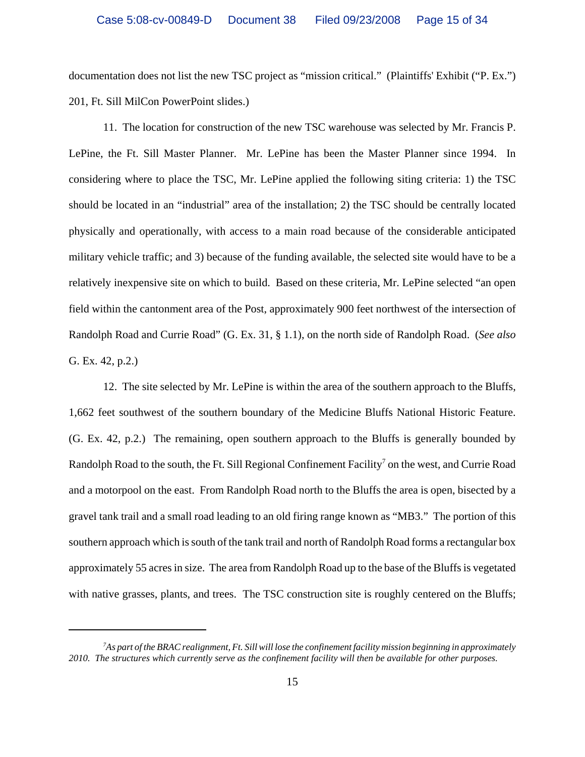documentation does not list the new TSC project as "mission critical." (Plaintiffs' Exhibit ("P. Ex.") 201, Ft. Sill MilCon PowerPoint slides.)

11. The location for construction of the new TSC warehouse was selected by Mr. Francis P. LePine, the Ft. Sill Master Planner. Mr. LePine has been the Master Planner since 1994. In considering where to place the TSC, Mr. LePine applied the following siting criteria: 1) the TSC should be located in an "industrial" area of the installation; 2) the TSC should be centrally located physically and operationally, with access to a main road because of the considerable anticipated military vehicle traffic; and 3) because of the funding available, the selected site would have to be a relatively inexpensive site on which to build. Based on these criteria, Mr. LePine selected "an open field within the cantonment area of the Post, approximately 900 feet northwest of the intersection of Randolph Road and Currie Road" (G. Ex. 31, § 1.1), on the north side of Randolph Road. (*See also* G. Ex. 42, p.2.)

12. The site selected by Mr. LePine is within the area of the southern approach to the Bluffs, 1,662 feet southwest of the southern boundary of the Medicine Bluffs National Historic Feature. (G. Ex. 42, p.2.) The remaining, open southern approach to the Bluffs is generally bounded by Randolph Road to the south, the Ft. Sill Regional Confinement Facility<sup>7</sup> on the west, and Currie Road and a motorpool on the east. From Randolph Road north to the Bluffs the area is open, bisected by a gravel tank trail and a small road leading to an old firing range known as "MB3." The portion of this southern approach which is south of the tank trail and north of Randolph Road forms a rectangular box approximately 55 acres in size. The area from Randolph Road up to the base of the Bluffs is vegetated with native grasses, plants, and trees. The TSC construction site is roughly centered on the Bluffs;

*<sup>7</sup> As part of the BRAC realignment, Ft. Sill will lose the confinement facility mission beginning in approximately 2010. The structures which currently serve as the confinement facility will then be available for other purposes.*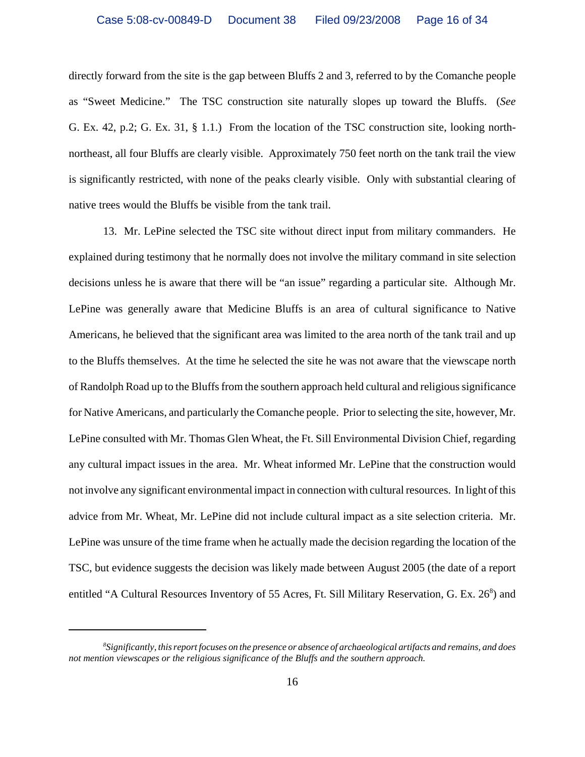directly forward from the site is the gap between Bluffs 2 and 3, referred to by the Comanche people as "Sweet Medicine." The TSC construction site naturally slopes up toward the Bluffs. (*See* G. Ex. 42, p.2; G. Ex. 31, § 1.1.) From the location of the TSC construction site, looking northnortheast, all four Bluffs are clearly visible. Approximately 750 feet north on the tank trail the view is significantly restricted, with none of the peaks clearly visible. Only with substantial clearing of native trees would the Bluffs be visible from the tank trail.

13. Mr. LePine selected the TSC site without direct input from military commanders. He explained during testimony that he normally does not involve the military command in site selection decisions unless he is aware that there will be "an issue" regarding a particular site. Although Mr. LePine was generally aware that Medicine Bluffs is an area of cultural significance to Native Americans, he believed that the significant area was limited to the area north of the tank trail and up to the Bluffs themselves. At the time he selected the site he was not aware that the viewscape north of Randolph Road up to the Bluffs from the southern approach held cultural and religious significance for Native Americans, and particularly the Comanche people. Prior to selecting the site, however, Mr. LePine consulted with Mr. Thomas Glen Wheat, the Ft. Sill Environmental Division Chief, regarding any cultural impact issues in the area. Mr. Wheat informed Mr. LePine that the construction would not involve any significant environmental impact in connection with cultural resources. In light of this advice from Mr. Wheat, Mr. LePine did not include cultural impact as a site selection criteria. Mr. LePine was unsure of the time frame when he actually made the decision regarding the location of the TSC, but evidence suggests the decision was likely made between August 2005 (the date of a report entitled "A Cultural Resources Inventory of 55 Acres, Ft. Sill Military Reservation, G. Ex. 26<sup>8</sup>) and

*<sup>8</sup> Significantly, this report focuses on the presence or absence of archaeological artifacts and remains, and does not mention viewscapes or the religious significance of the Bluffs and the southern approach.*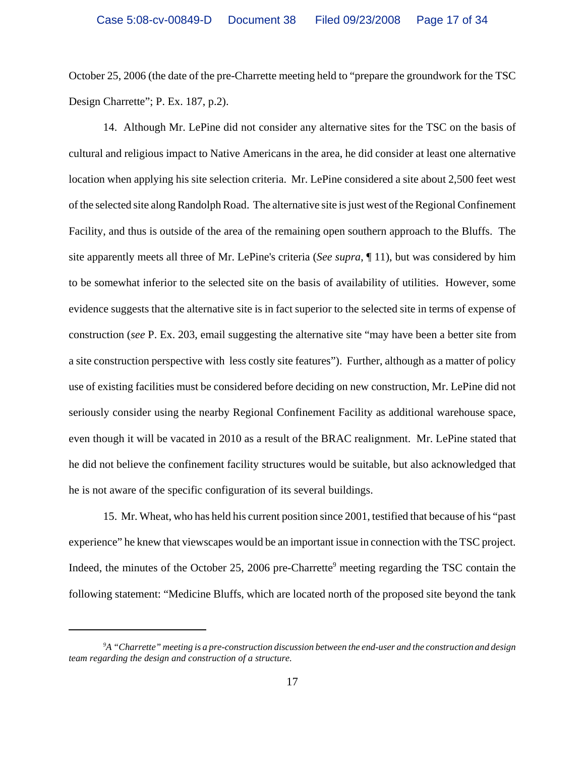October 25, 2006 (the date of the pre-Charrette meeting held to "prepare the groundwork for the TSC Design Charrette"; P. Ex. 187, p.2).

14. Although Mr. LePine did not consider any alternative sites for the TSC on the basis of cultural and religious impact to Native Americans in the area, he did consider at least one alternative location when applying his site selection criteria. Mr. LePine considered a site about 2,500 feet west of the selected site along Randolph Road. The alternative site is just west of the Regional Confinement Facility, and thus is outside of the area of the remaining open southern approach to the Bluffs. The site apparently meets all three of Mr. LePine's criteria (*See supra*, ¶ 11), but was considered by him to be somewhat inferior to the selected site on the basis of availability of utilities. However, some evidence suggests that the alternative site is in fact superior to the selected site in terms of expense of construction (*see* P. Ex. 203, email suggesting the alternative site "may have been a better site from a site construction perspective with less costly site features"). Further, although as a matter of policy use of existing facilities must be considered before deciding on new construction, Mr. LePine did not seriously consider using the nearby Regional Confinement Facility as additional warehouse space, even though it will be vacated in 2010 as a result of the BRAC realignment. Mr. LePine stated that he did not believe the confinement facility structures would be suitable, but also acknowledged that he is not aware of the specific configuration of its several buildings.

15. Mr. Wheat, who has held his current position since 2001, testified that because of his "past experience" he knew that viewscapes would be an important issue in connection with the TSC project. Indeed, the minutes of the October 25, 2006 pre-Charrette<sup>9</sup> meeting regarding the TSC contain the following statement: "Medicine Bluffs, which are located north of the proposed site beyond the tank

*<sup>9</sup> A "Charrette" meeting is a pre-construction discussion between the end-user and the construction and design team regarding the design and construction of a structure.*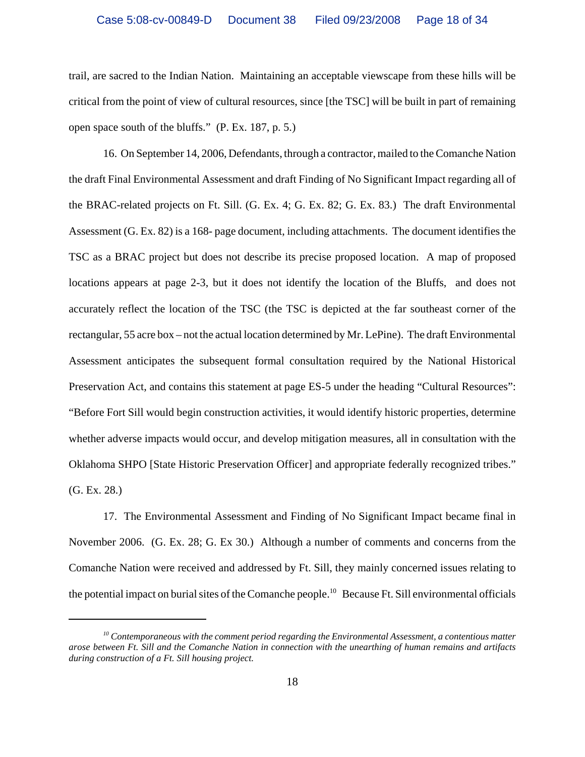trail, are sacred to the Indian Nation. Maintaining an acceptable viewscape from these hills will be critical from the point of view of cultural resources, since [the TSC] will be built in part of remaining open space south of the bluffs." (P. Ex. 187, p. 5.)

16. On September 14, 2006, Defendants, through a contractor, mailed to the Comanche Nation the draft Final Environmental Assessment and draft Finding of No Significant Impact regarding all of the BRAC-related projects on Ft. Sill. (G. Ex. 4; G. Ex. 82; G. Ex. 83.) The draft Environmental Assessment (G. Ex. 82) is a 168- page document, including attachments. The document identifies the TSC as a BRAC project but does not describe its precise proposed location. A map of proposed locations appears at page 2-3, but it does not identify the location of the Bluffs, and does not accurately reflect the location of the TSC (the TSC is depicted at the far southeast corner of the rectangular, 55 acre box – not the actual location determined by Mr. LePine). The draft Environmental Assessment anticipates the subsequent formal consultation required by the National Historical Preservation Act, and contains this statement at page ES-5 under the heading "Cultural Resources": "Before Fort Sill would begin construction activities, it would identify historic properties, determine whether adverse impacts would occur, and develop mitigation measures, all in consultation with the Oklahoma SHPO [State Historic Preservation Officer] and appropriate federally recognized tribes." (G. Ex. 28.)

17. The Environmental Assessment and Finding of No Significant Impact became final in November 2006. (G. Ex. 28; G. Ex 30.) Although a number of comments and concerns from the Comanche Nation were received and addressed by Ft. Sill, they mainly concerned issues relating to the potential impact on burial sites of the Comanche people.<sup>10</sup> Because Ft. Sill environmental officials

*<sup>10</sup> Contemporaneous with the comment period regarding the Environmental Assessment, a contentious matter arose between Ft. Sill and the Comanche Nation in connection with the unearthing of human remains and artifacts during construction of a Ft. Sill housing project.*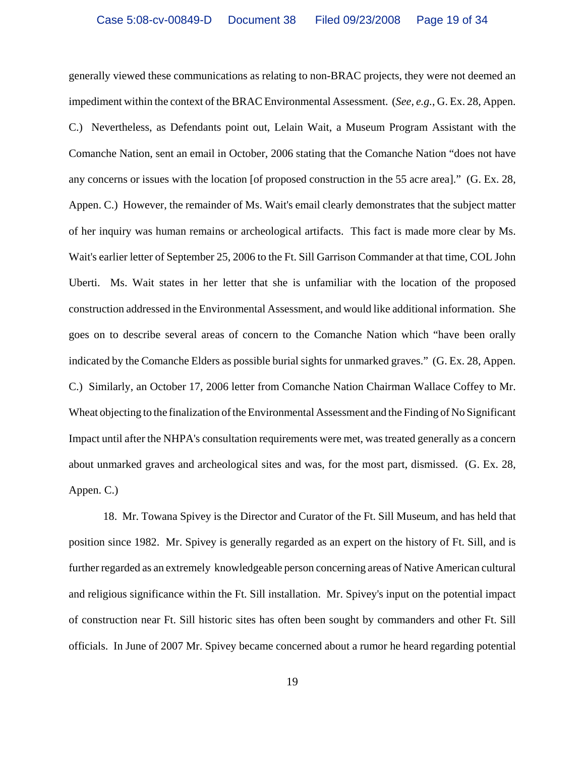generally viewed these communications as relating to non-BRAC projects, they were not deemed an impediment within the context of the BRAC Environmental Assessment. (*See, e.g.*, G. Ex. 28, Appen. C.) Nevertheless, as Defendants point out, Lelain Wait, a Museum Program Assistant with the Comanche Nation, sent an email in October, 2006 stating that the Comanche Nation "does not have any concerns or issues with the location [of proposed construction in the 55 acre area]." (G. Ex. 28, Appen. C.) However, the remainder of Ms. Wait's email clearly demonstrates that the subject matter of her inquiry was human remains or archeological artifacts. This fact is made more clear by Ms. Wait's earlier letter of September 25, 2006 to the Ft. Sill Garrison Commander at that time, COL John Uberti. Ms. Wait states in her letter that she is unfamiliar with the location of the proposed construction addressed in the Environmental Assessment, and would like additional information. She goes on to describe several areas of concern to the Comanche Nation which "have been orally indicated by the Comanche Elders as possible burial sights for unmarked graves." (G. Ex. 28, Appen. C.) Similarly, an October 17, 2006 letter from Comanche Nation Chairman Wallace Coffey to Mr. Wheat objecting to the finalization of the Environmental Assessment and the Finding of No Significant Impact until after the NHPA's consultation requirements were met, was treated generally as a concern about unmarked graves and archeological sites and was, for the most part, dismissed. (G. Ex. 28, Appen. C.)

18. Mr. Towana Spivey is the Director and Curator of the Ft. Sill Museum, and has held that position since 1982. Mr. Spivey is generally regarded as an expert on the history of Ft. Sill, and is further regarded as an extremely knowledgeable person concerning areas of Native American cultural and religious significance within the Ft. Sill installation. Mr. Spivey's input on the potential impact of construction near Ft. Sill historic sites has often been sought by commanders and other Ft. Sill officials. In June of 2007 Mr. Spivey became concerned about a rumor he heard regarding potential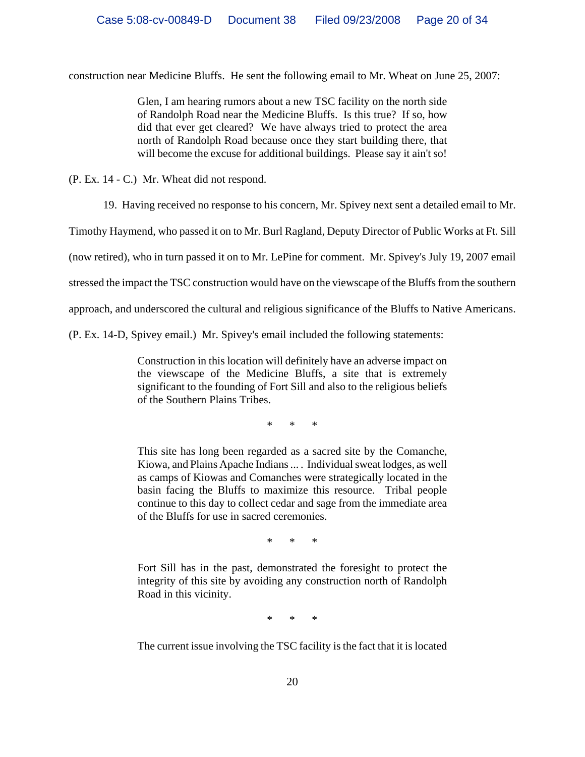construction near Medicine Bluffs. He sent the following email to Mr. Wheat on June 25, 2007:

Glen, I am hearing rumors about a new TSC facility on the north side of Randolph Road near the Medicine Bluffs. Is this true? If so, how did that ever get cleared? We have always tried to protect the area north of Randolph Road because once they start building there, that will become the excuse for additional buildings. Please say it ain't so!

(P. Ex. 14 - C.) Mr. Wheat did not respond.

19. Having received no response to his concern, Mr. Spivey next sent a detailed email to Mr.

Timothy Haymend, who passed it on to Mr. Burl Ragland, Deputy Director of Public Works at Ft. Sill

(now retired), who in turn passed it on to Mr. LePine for comment. Mr. Spivey's July 19, 2007 email

stressed the impact the TSC construction would have on the viewscape of the Bluffs from the southern

approach, and underscored the cultural and religious significance of the Bluffs to Native Americans.

(P. Ex. 14-D, Spivey email.) Mr. Spivey's email included the following statements:

Construction in this location will definitely have an adverse impact on the viewscape of the Medicine Bluffs, a site that is extremely significant to the founding of Fort Sill and also to the religious beliefs of the Southern Plains Tribes.

\* \* \*

This site has long been regarded as a sacred site by the Comanche, Kiowa, and Plains Apache Indians ... . Individual sweat lodges, as well as camps of Kiowas and Comanches were strategically located in the basin facing the Bluffs to maximize this resource. Tribal people continue to this day to collect cedar and sage from the immediate area of the Bluffs for use in sacred ceremonies.

\* \* \*

Fort Sill has in the past, demonstrated the foresight to protect the integrity of this site by avoiding any construction north of Randolph Road in this vicinity.

\* \* \*

The current issue involving the TSC facility is the fact that it is located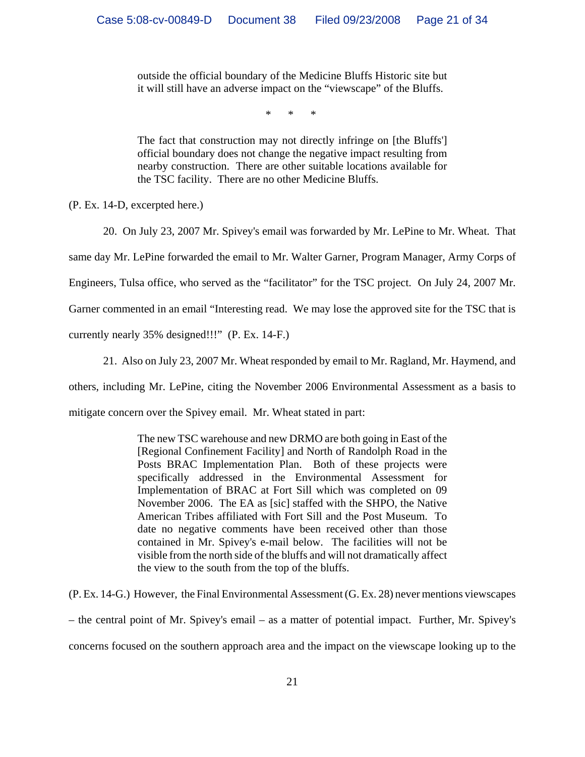outside the official boundary of the Medicine Bluffs Historic site but it will still have an adverse impact on the "viewscape" of the Bluffs.

\* \* \*

The fact that construction may not directly infringe on [the Bluffs'] official boundary does not change the negative impact resulting from nearby construction. There are other suitable locations available for the TSC facility. There are no other Medicine Bluffs.

(P. Ex. 14-D, excerpted here.)

20. On July 23, 2007 Mr. Spivey's email was forwarded by Mr. LePine to Mr. Wheat. That

same day Mr. LePine forwarded the email to Mr. Walter Garner, Program Manager, Army Corps of

Engineers, Tulsa office, who served as the "facilitator" for the TSC project. On July 24, 2007 Mr.

Garner commented in an email "Interesting read. We may lose the approved site for the TSC that is

currently nearly 35% designed!!!" (P. Ex. 14-F.)

21. Also on July 23, 2007 Mr. Wheat responded by email to Mr. Ragland, Mr. Haymend, and others, including Mr. LePine, citing the November 2006 Environmental Assessment as a basis to mitigate concern over the Spivey email. Mr. Wheat stated in part:

> The new TSC warehouse and new DRMO are both going in East of the [Regional Confinement Facility] and North of Randolph Road in the Posts BRAC Implementation Plan. Both of these projects were specifically addressed in the Environmental Assessment for Implementation of BRAC at Fort Sill which was completed on 09 November 2006. The EA as [sic] staffed with the SHPO, the Native American Tribes affiliated with Fort Sill and the Post Museum. To date no negative comments have been received other than those contained in Mr. Spivey's e-mail below. The facilities will not be visible from the north side of the bluffs and will not dramatically affect the view to the south from the top of the bluffs.

(P. Ex. 14-G.) However, the Final Environmental Assessment (G. Ex. 28) never mentions viewscapes – the central point of Mr. Spivey's email – as a matter of potential impact. Further, Mr. Spivey's concerns focused on the southern approach area and the impact on the viewscape looking up to the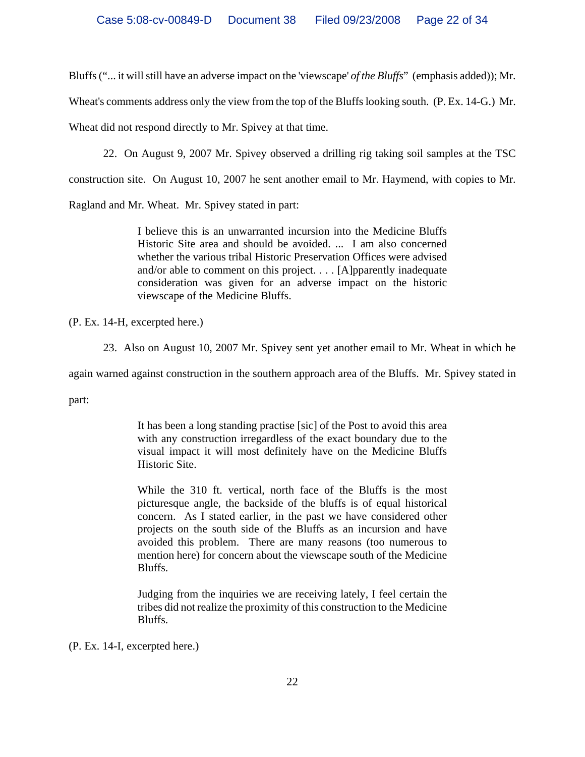Bluffs ("... it will still have an adverse impact on the 'viewscape' *of the Bluffs*" (emphasis added)); Mr.

Wheat's comments address only the view from the top of the Bluffs looking south. (P. Ex. 14-G.) Mr.

Wheat did not respond directly to Mr. Spivey at that time.

22. On August 9, 2007 Mr. Spivey observed a drilling rig taking soil samples at the TSC

construction site. On August 10, 2007 he sent another email to Mr. Haymend, with copies to Mr.

Ragland and Mr. Wheat. Mr. Spivey stated in part:

I believe this is an unwarranted incursion into the Medicine Bluffs Historic Site area and should be avoided. ... I am also concerned whether the various tribal Historic Preservation Offices were advised and/or able to comment on this project. . . . [A]pparently inadequate consideration was given for an adverse impact on the historic viewscape of the Medicine Bluffs.

(P. Ex. 14-H, excerpted here.)

23. Also on August 10, 2007 Mr. Spivey sent yet another email to Mr. Wheat in which he

again warned against construction in the southern approach area of the Bluffs. Mr. Spivey stated in

part:

It has been a long standing practise [sic] of the Post to avoid this area with any construction irregardless of the exact boundary due to the visual impact it will most definitely have on the Medicine Bluffs Historic Site.

While the 310 ft. vertical, north face of the Bluffs is the most picturesque angle, the backside of the bluffs is of equal historical concern. As I stated earlier, in the past we have considered other projects on the south side of the Bluffs as an incursion and have avoided this problem. There are many reasons (too numerous to mention here) for concern about the viewscape south of the Medicine Bluffs.

Judging from the inquiries we are receiving lately, I feel certain the tribes did not realize the proximity of this construction to the Medicine Bluffs.

(P. Ex. 14-I, excerpted here.)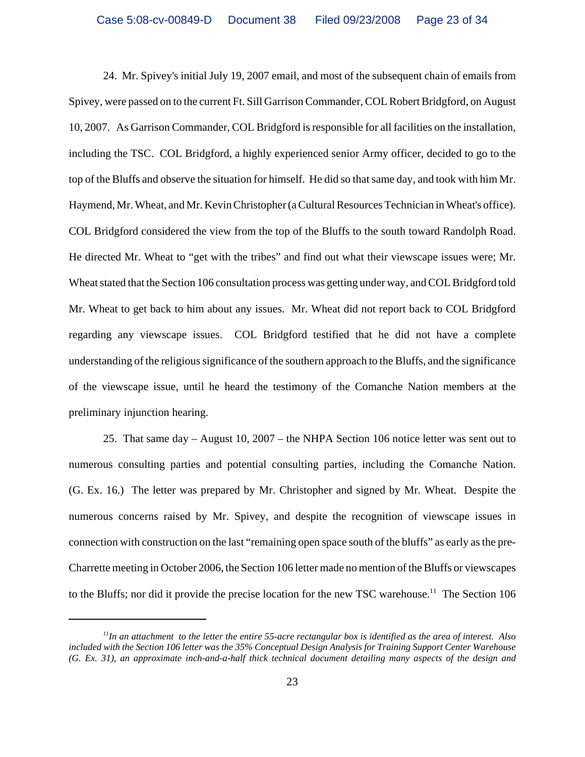24. Mr. Spivey's initial July 19, 2007 email, and most of the subsequent chain of emails from Spivey, were passed on to the current Ft. Sill Garrison Commander, COL Robert Bridgford, on August 10, 2007. As Garrison Commander, COL Bridgford is responsible for all facilities on the installation, including the TSC. COL Bridgford, a highly experienced senior Army officer, decided to go to the top of the Bluffs and observe the situation for himself. He did so that same day, and took with him Mr. Haymend, Mr. Wheat, and Mr. Kevin Christopher (a Cultural Resources Technician in Wheat's office). COL Bridgford considered the view from the top of the Bluffs to the south toward Randolph Road. He directed Mr. Wheat to "get with the tribes" and find out what their viewscape issues were; Mr. Wheat stated that the Section 106 consultation process was getting under way, and COL Bridgford told Mr. Wheat to get back to him about any issues. Mr. Wheat did not report back to COL Bridgford regarding any viewscape issues. COL Bridgford testified that he did not have a complete understanding of the religious significance of the southern approach to the Bluffs, and the significance of the viewscape issue, until he heard the testimony of the Comanche Nation members at the preliminary injunction hearing.

25. That same day – August 10, 2007 – the NHPA Section 106 notice letter was sent out to numerous consulting parties and potential consulting parties, including the Comanche Nation. (G. Ex. 16.) The letter was prepared by Mr. Christopher and signed by Mr. Wheat. Despite the numerous concerns raised by Mr. Spivey, and despite the recognition of viewscape issues in connection with construction on the last "remaining open space south of the bluffs" as early as the pre-Charrette meeting in October 2006, the Section 106 letter made no mention of the Bluffs or viewscapes to the Bluffs; nor did it provide the precise location for the new TSC warehouse.<sup>11</sup> The Section 106

*<sup>11</sup>In an attachment to the letter the entire 55-acre rectangular box is identified as the area of interest. Also included with the Section 106 letter was the 35% Conceptual Design Analysis for Training Support Center Warehouse (G. Ex. 31), an approximate inch-and-a-half thick technical document detailing many aspects of the design and*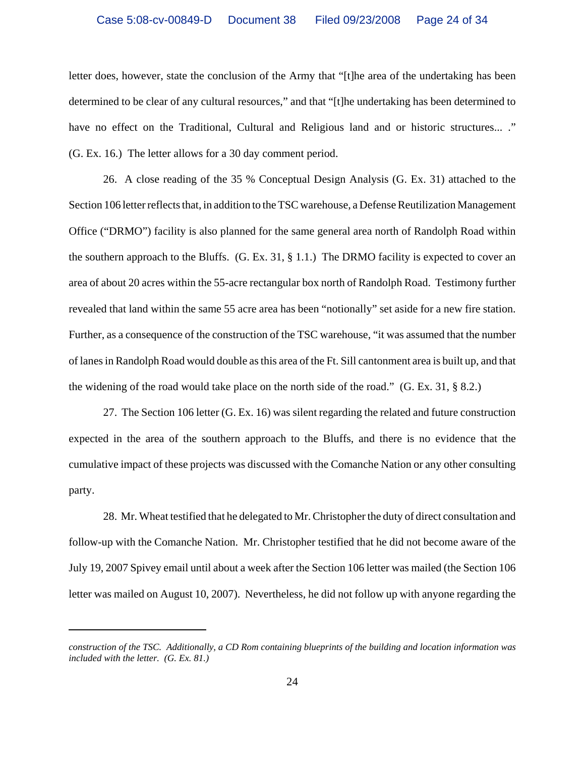letter does, however, state the conclusion of the Army that "[t]he area of the undertaking has been determined to be clear of any cultural resources," and that "[t]he undertaking has been determined to have no effect on the Traditional, Cultural and Religious land and or historic structures... ." (G. Ex. 16.) The letter allows for a 30 day comment period.

26. A close reading of the 35 % Conceptual Design Analysis (G. Ex. 31) attached to the Section 106 letter reflects that, in addition to the TSC warehouse, a Defense Reutilization Management Office ("DRMO") facility is also planned for the same general area north of Randolph Road within the southern approach to the Bluffs.  $(G. Ex. 31, § 1.1.)$  The DRMO facility is expected to cover an area of about 20 acres within the 55-acre rectangular box north of Randolph Road. Testimony further revealed that land within the same 55 acre area has been "notionally" set aside for a new fire station. Further, as a consequence of the construction of the TSC warehouse, "it was assumed that the number of lanes in Randolph Road would double as this area of the Ft. Sill cantonment area is built up, and that the widening of the road would take place on the north side of the road." (G. Ex. 31, § 8.2.)

27. The Section 106 letter (G. Ex. 16) was silent regarding the related and future construction expected in the area of the southern approach to the Bluffs, and there is no evidence that the cumulative impact of these projects was discussed with the Comanche Nation or any other consulting party.

28. Mr. Wheat testified that he delegated to Mr. Christopher the duty of direct consultation and follow-up with the Comanche Nation. Mr. Christopher testified that he did not become aware of the July 19, 2007 Spivey email until about a week after the Section 106 letter was mailed (the Section 106 letter was mailed on August 10, 2007). Nevertheless, he did not follow up with anyone regarding the

*construction of the TSC. Additionally, a CD Rom containing blueprints of the building and location information was included with the letter. (G. Ex. 81.)*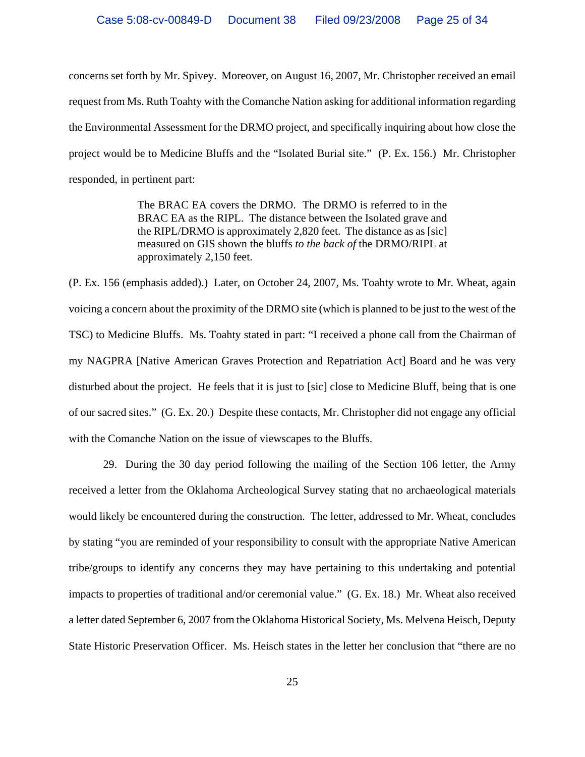concerns set forth by Mr. Spivey. Moreover, on August 16, 2007, Mr. Christopher received an email request from Ms. Ruth Toahty with the Comanche Nation asking for additional information regarding the Environmental Assessment for the DRMO project, and specifically inquiring about how close the project would be to Medicine Bluffs and the "Isolated Burial site." (P. Ex. 156.) Mr. Christopher responded, in pertinent part:

> The BRAC EA covers the DRMO. The DRMO is referred to in the BRAC EA as the RIPL. The distance between the Isolated grave and the RIPL/DRMO is approximately 2,820 feet. The distance as as [sic] measured on GIS shown the bluffs *to the back of* the DRMO/RIPL at approximately 2,150 feet.

(P. Ex. 156 (emphasis added).) Later, on October 24, 2007, Ms. Toahty wrote to Mr. Wheat, again voicing a concern about the proximity of the DRMO site (which is planned to be just to the west of the TSC) to Medicine Bluffs. Ms. Toahty stated in part: "I received a phone call from the Chairman of my NAGPRA [Native American Graves Protection and Repatriation Act] Board and he was very disturbed about the project. He feels that it is just to [sic] close to Medicine Bluff, being that is one of our sacred sites." (G. Ex. 20.) Despite these contacts, Mr. Christopher did not engage any official with the Comanche Nation on the issue of viewscapes to the Bluffs.

29. During the 30 day period following the mailing of the Section 106 letter, the Army received a letter from the Oklahoma Archeological Survey stating that no archaeological materials would likely be encountered during the construction. The letter, addressed to Mr. Wheat, concludes by stating "you are reminded of your responsibility to consult with the appropriate Native American tribe/groups to identify any concerns they may have pertaining to this undertaking and potential impacts to properties of traditional and/or ceremonial value." (G. Ex. 18.) Mr. Wheat also received a letter dated September 6, 2007 from the Oklahoma Historical Society, Ms. Melvena Heisch, Deputy State Historic Preservation Officer. Ms. Heisch states in the letter her conclusion that "there are no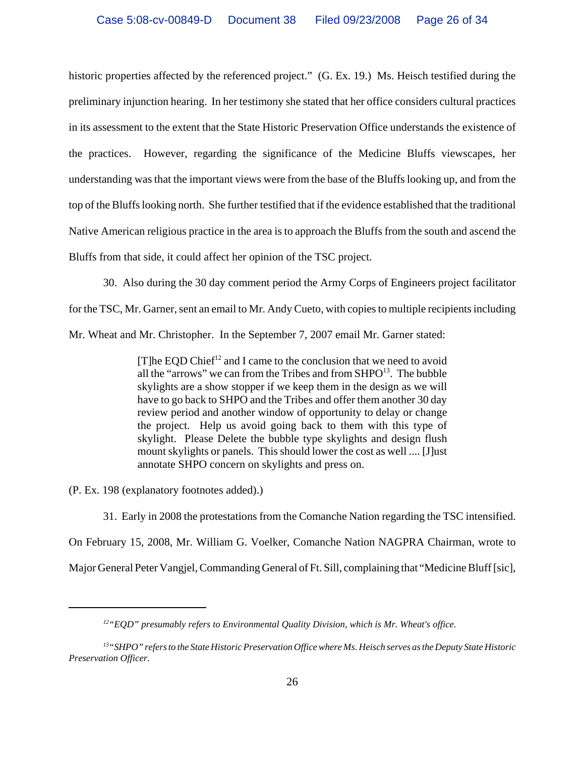historic properties affected by the referenced project." (G. Ex. 19.) Ms. Heisch testified during the preliminary injunction hearing. In her testimony she stated that her office considers cultural practices in its assessment to the extent that the State Historic Preservation Office understands the existence of the practices. However, regarding the significance of the Medicine Bluffs viewscapes, her understanding was that the important views were from the base of the Bluffs looking up, and from the top of the Bluffs looking north. She further testified that if the evidence established that the traditional Native American religious practice in the area is to approach the Bluffs from the south and ascend the Bluffs from that side, it could affect her opinion of the TSC project.

30. Also during the 30 day comment period the Army Corps of Engineers project facilitator

for the TSC, Mr. Garner, sent an email to Mr. Andy Cueto, with copies to multiple recipients including

Mr. Wheat and Mr. Christopher. In the September 7, 2007 email Mr. Garner stated:

 $[T]$ he EQD Chief<sup>12</sup> and I came to the conclusion that we need to avoid all the "arrows" we can from the Tribes and from  $SHPO<sup>13</sup>$ . The bubble skylights are a show stopper if we keep them in the design as we will have to go back to SHPO and the Tribes and offer them another 30 day review period and another window of opportunity to delay or change the project. Help us avoid going back to them with this type of skylight. Please Delete the bubble type skylights and design flush mount skylights or panels. This should lower the cost as well .... [J]ust annotate SHPO concern on skylights and press on.

(P. Ex. 198 (explanatory footnotes added).)

31. Early in 2008 the protestations from the Comanche Nation regarding the TSC intensified. On February 15, 2008, Mr. William G. Voelker, Comanche Nation NAGPRA Chairman, wrote to Major General Peter Vangjel, Commanding General of Ft. Sill, complaining that "Medicine Bluff [sic],

*<sup>12&</sup>quot;EQD" presumably refers to Environmental Quality Division, which is Mr. Wheat's office.* 

*<sup>13&</sup>quot;SHPO" refers to the State Historic Preservation Office where Ms. Heisch serves as the Deputy State Historic Preservation Officer.*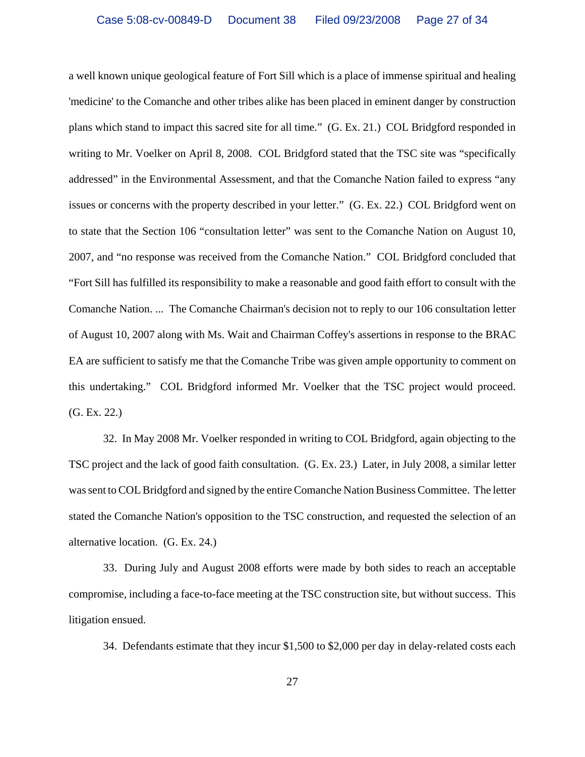a well known unique geological feature of Fort Sill which is a place of immense spiritual and healing 'medicine' to the Comanche and other tribes alike has been placed in eminent danger by construction plans which stand to impact this sacred site for all time." (G. Ex. 21.) COL Bridgford responded in writing to Mr. Voelker on April 8, 2008. COL Bridgford stated that the TSC site was "specifically addressed" in the Environmental Assessment, and that the Comanche Nation failed to express "any issues or concerns with the property described in your letter." (G. Ex. 22.) COL Bridgford went on to state that the Section 106 "consultation letter" was sent to the Comanche Nation on August 10, 2007, and "no response was received from the Comanche Nation." COL Bridgford concluded that "Fort Sill has fulfilled its responsibility to make a reasonable and good faith effort to consult with the Comanche Nation. ... The Comanche Chairman's decision not to reply to our 106 consultation letter of August 10, 2007 along with Ms. Wait and Chairman Coffey's assertions in response to the BRAC EA are sufficient to satisfy me that the Comanche Tribe was given ample opportunity to comment on this undertaking." COL Bridgford informed Mr. Voelker that the TSC project would proceed. (G. Ex. 22.)

32. In May 2008 Mr. Voelker responded in writing to COL Bridgford, again objecting to the TSC project and the lack of good faith consultation. (G. Ex. 23.) Later, in July 2008, a similar letter was sent to COL Bridgford and signed by the entire Comanche Nation Business Committee. The letter stated the Comanche Nation's opposition to the TSC construction, and requested the selection of an alternative location. (G. Ex. 24.)

33. During July and August 2008 efforts were made by both sides to reach an acceptable compromise, including a face-to-face meeting at the TSC construction site, but without success. This litigation ensued.

34. Defendants estimate that they incur \$1,500 to \$2,000 per day in delay-related costs each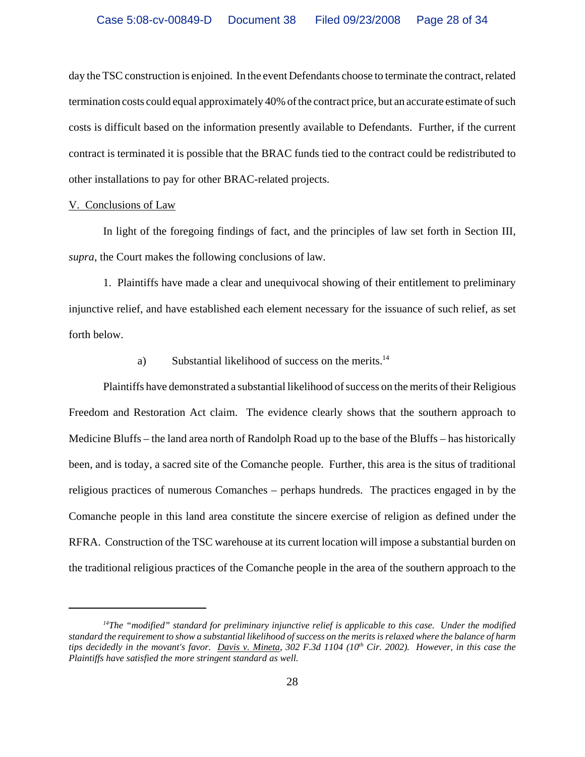day the TSC construction is enjoined. In the event Defendants choose to terminate the contract, related termination costs could equal approximately 40% of the contract price, but an accurate estimate of such costs is difficult based on the information presently available to Defendants. Further, if the current contract is terminated it is possible that the BRAC funds tied to the contract could be redistributed to other installations to pay for other BRAC-related projects.

### V. Conclusions of Law

In light of the foregoing findings of fact, and the principles of law set forth in Section III, *supra*, the Court makes the following conclusions of law.

1. Plaintiffs have made a clear and unequivocal showing of their entitlement to preliminary injunctive relief, and have established each element necessary for the issuance of such relief, as set forth below.

# a) Substantial likelihood of success on the merits.<sup>14</sup>

Plaintiffs have demonstrated a substantial likelihood of success on the merits of their Religious Freedom and Restoration Act claim. The evidence clearly shows that the southern approach to Medicine Bluffs – the land area north of Randolph Road up to the base of the Bluffs – has historically been, and is today, a sacred site of the Comanche people. Further, this area is the situs of traditional religious practices of numerous Comanches – perhaps hundreds. The practices engaged in by the Comanche people in this land area constitute the sincere exercise of religion as defined under the RFRA. Construction of the TSC warehouse at its current location will impose a substantial burden on the traditional religious practices of the Comanche people in the area of the southern approach to the

*<sup>14</sup>The "modified" standard for preliminary injunctive relief is applicable to this case. Under the modified standard the requirement to show a substantial likelihood of success on the merits is relaxed where the balance of harm* tips decidedly in the movant's favor. Davis v. Mineta, 302 F.3d 1104 (10<sup>th</sup> Cir. 2002). However, in this case the *Plaintiffs have satisfied the more stringent standard as well.*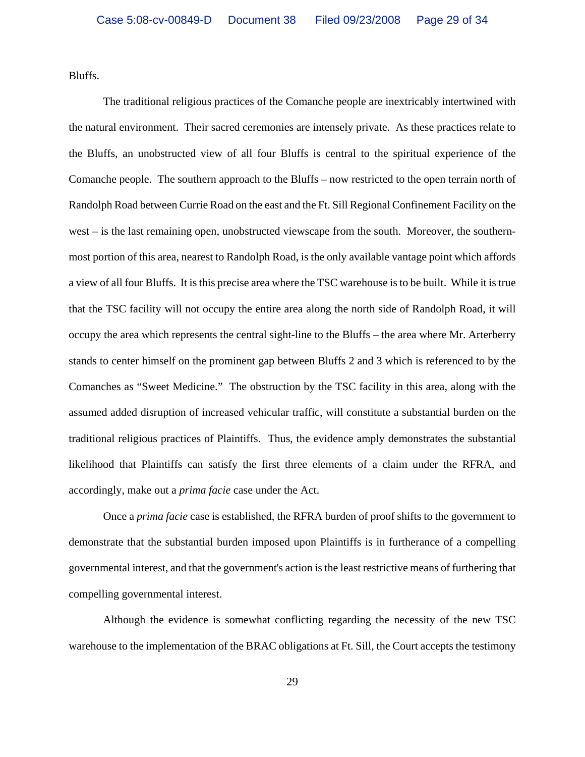Bluffs.

The traditional religious practices of the Comanche people are inextricably intertwined with the natural environment. Their sacred ceremonies are intensely private. As these practices relate to the Bluffs, an unobstructed view of all four Bluffs is central to the spiritual experience of the Comanche people. The southern approach to the Bluffs – now restricted to the open terrain north of Randolph Road between Currie Road on the east and the Ft. Sill Regional Confinement Facility on the west – is the last remaining open, unobstructed viewscape from the south. Moreover, the southernmost portion of this area, nearest to Randolph Road, is the only available vantage point which affords a view of all four Bluffs. It is this precise area where the TSC warehouse is to be built. While it is true that the TSC facility will not occupy the entire area along the north side of Randolph Road, it will occupy the area which represents the central sight-line to the Bluffs – the area where Mr. Arterberry stands to center himself on the prominent gap between Bluffs 2 and 3 which is referenced to by the Comanches as "Sweet Medicine." The obstruction by the TSC facility in this area, along with the assumed added disruption of increased vehicular traffic, will constitute a substantial burden on the traditional religious practices of Plaintiffs. Thus, the evidence amply demonstrates the substantial likelihood that Plaintiffs can satisfy the first three elements of a claim under the RFRA, and accordingly, make out a *prima facie* case under the Act.

Once a *prima facie* case is established, the RFRA burden of proof shifts to the government to demonstrate that the substantial burden imposed upon Plaintiffs is in furtherance of a compelling governmental interest, and that the government's action is the least restrictive means of furthering that compelling governmental interest.

Although the evidence is somewhat conflicting regarding the necessity of the new TSC warehouse to the implementation of the BRAC obligations at Ft. Sill, the Court accepts the testimony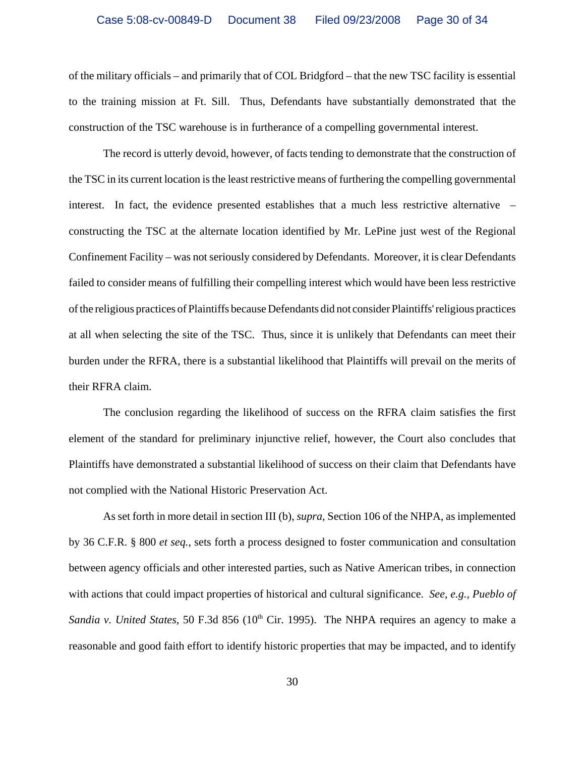of the military officials – and primarily that of COL Bridgford – that the new TSC facility is essential to the training mission at Ft. Sill. Thus, Defendants have substantially demonstrated that the construction of the TSC warehouse is in furtherance of a compelling governmental interest.

The record is utterly devoid, however, of facts tending to demonstrate that the construction of the TSC in its current location is the least restrictive means of furthering the compelling governmental interest. In fact, the evidence presented establishes that a much less restrictive alternative – constructing the TSC at the alternate location identified by Mr. LePine just west of the Regional Confinement Facility – was not seriously considered by Defendants. Moreover, it is clear Defendants failed to consider means of fulfilling their compelling interest which would have been less restrictive of the religious practices of Plaintiffs because Defendants did not consider Plaintiffs' religious practices at all when selecting the site of the TSC. Thus, since it is unlikely that Defendants can meet their burden under the RFRA, there is a substantial likelihood that Plaintiffs will prevail on the merits of their RFRA claim.

The conclusion regarding the likelihood of success on the RFRA claim satisfies the first element of the standard for preliminary injunctive relief, however, the Court also concludes that Plaintiffs have demonstrated a substantial likelihood of success on their claim that Defendants have not complied with the National Historic Preservation Act.

As set forth in more detail in section III (b), *supra*, Section 106 of the NHPA, as implemented by 36 C.F.R. § 800 *et seq.*, sets forth a process designed to foster communication and consultation between agency officials and other interested parties, such as Native American tribes, in connection with actions that could impact properties of historical and cultural significance. *See, e.g., Pueblo of Sandia v. United States*, 50 F.3d 856 (10<sup>th</sup> Cir. 1995). The NHPA requires an agency to make a reasonable and good faith effort to identify historic properties that may be impacted, and to identify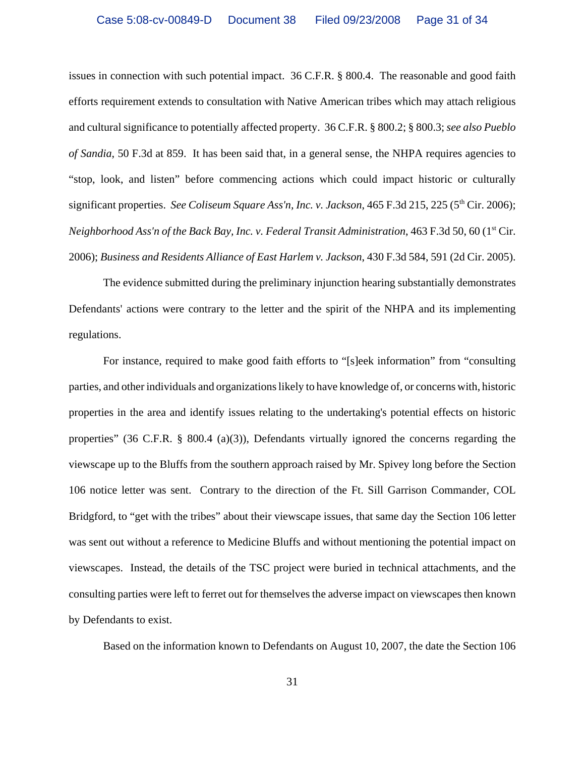issues in connection with such potential impact. 36 C.F.R. § 800.4. The reasonable and good faith efforts requirement extends to consultation with Native American tribes which may attach religious and cultural significance to potentially affected property. 36 C.F.R. § 800.2; § 800.3; *see also Pueblo of Sandia*, 50 F.3d at 859. It has been said that, in a general sense, the NHPA requires agencies to "stop, look, and listen" before commencing actions which could impact historic or culturally significant properties. *See Coliseum Square Ass'n, Inc. v. Jackson*, 465 F.3d 215, 225 (5<sup>th</sup> Cir. 2006); *Neighborhood Ass'n of the Back Bay, Inc. v. Federal Transit Administration,* 463 F.3d 50, 60 (1<sup>st</sup> Cir. 2006); *Business and Residents Alliance of East Harlem v. Jackson*, 430 F.3d 584, 591 (2d Cir. 2005).

The evidence submitted during the preliminary injunction hearing substantially demonstrates Defendants' actions were contrary to the letter and the spirit of the NHPA and its implementing regulations.

For instance, required to make good faith efforts to "[s]eek information" from "consulting parties, and other individuals and organizations likely to have knowledge of, or concerns with, historic properties in the area and identify issues relating to the undertaking's potential effects on historic properties" (36 C.F.R. § 800.4 (a)(3)), Defendants virtually ignored the concerns regarding the viewscape up to the Bluffs from the southern approach raised by Mr. Spivey long before the Section 106 notice letter was sent. Contrary to the direction of the Ft. Sill Garrison Commander, COL Bridgford, to "get with the tribes" about their viewscape issues, that same day the Section 106 letter was sent out without a reference to Medicine Bluffs and without mentioning the potential impact on viewscapes. Instead, the details of the TSC project were buried in technical attachments, and the consulting parties were left to ferret out for themselves the adverse impact on viewscapes then known by Defendants to exist.

Based on the information known to Defendants on August 10, 2007, the date the Section 106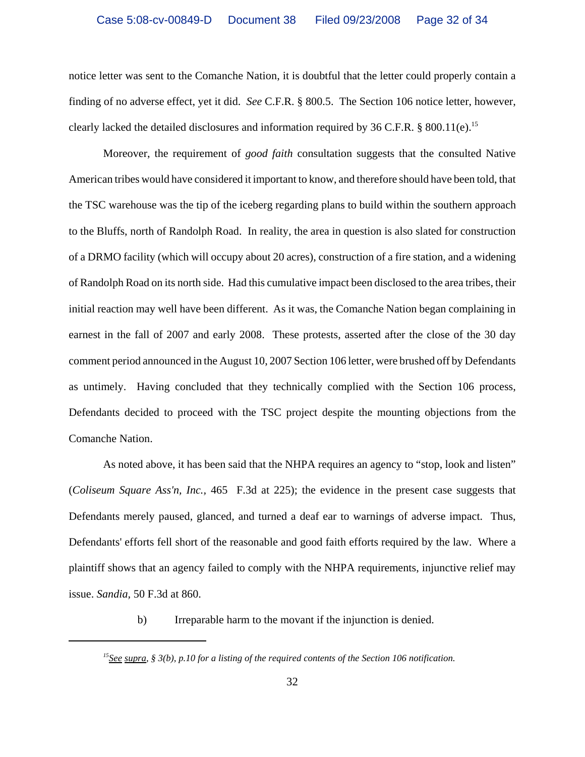notice letter was sent to the Comanche Nation, it is doubtful that the letter could properly contain a finding of no adverse effect, yet it did. *See* C.F.R. § 800.5. The Section 106 notice letter, however, clearly lacked the detailed disclosures and information required by  $36$  C.F.R. § 800.11(e).<sup>15</sup>

Moreover, the requirement of *good faith* consultation suggests that the consulted Native American tribes would have considered it important to know, and therefore should have been told, that the TSC warehouse was the tip of the iceberg regarding plans to build within the southern approach to the Bluffs, north of Randolph Road. In reality, the area in question is also slated for construction of a DRMO facility (which will occupy about 20 acres), construction of a fire station, and a widening of Randolph Road on its north side. Had this cumulative impact been disclosed to the area tribes, their initial reaction may well have been different. As it was, the Comanche Nation began complaining in earnest in the fall of 2007 and early 2008. These protests, asserted after the close of the 30 day comment period announced in the August 10, 2007 Section 106 letter, were brushed off by Defendants as untimely. Having concluded that they technically complied with the Section 106 process, Defendants decided to proceed with the TSC project despite the mounting objections from the Comanche Nation.

As noted above, it has been said that the NHPA requires an agency to "stop, look and listen" (*Coliseum Square Ass'n, Inc.,* 465 F.3d at 225); the evidence in the present case suggests that Defendants merely paused, glanced, and turned a deaf ear to warnings of adverse impact. Thus, Defendants' efforts fell short of the reasonable and good faith efforts required by the law. Where a plaintiff shows that an agency failed to comply with the NHPA requirements, injunctive relief may issue. *Sandia,* 50 F.3d at 860.

b) Irreparable harm to the movant if the injunction is denied.

*<sup>15</sup>See supra, § 3(b), p.10 for a listing of the required contents of the Section 106 notification.*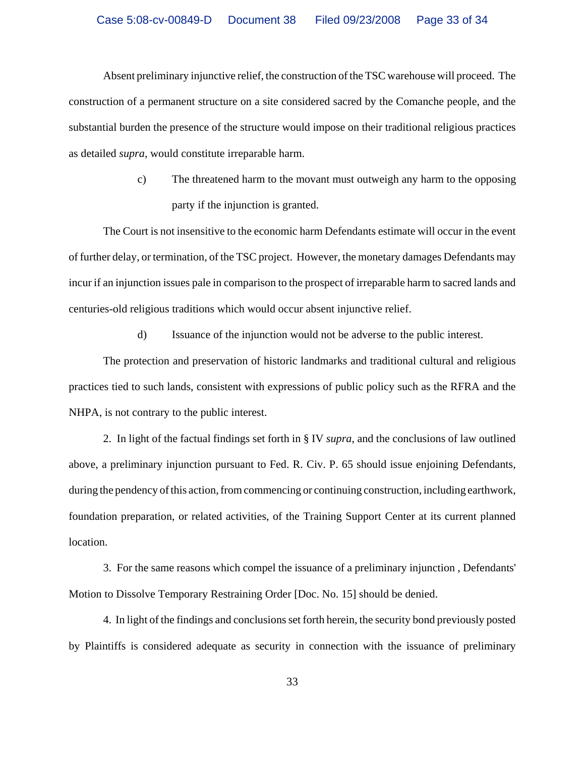Absent preliminary injunctive relief, the construction of the TSC warehouse will proceed. The construction of a permanent structure on a site considered sacred by the Comanche people, and the substantial burden the presence of the structure would impose on their traditional religious practices as detailed *supra*, would constitute irreparable harm.

> c) The threatened harm to the movant must outweigh any harm to the opposing party if the injunction is granted.

The Court is not insensitive to the economic harm Defendants estimate will occur in the event of further delay, or termination, of the TSC project. However, the monetary damages Defendants may incur if an injunction issues pale in comparison to the prospect of irreparable harm to sacred lands and centuries-old religious traditions which would occur absent injunctive relief.

d) Issuance of the injunction would not be adverse to the public interest.

The protection and preservation of historic landmarks and traditional cultural and religious practices tied to such lands, consistent with expressions of public policy such as the RFRA and the NHPA, is not contrary to the public interest.

2. In light of the factual findings set forth in § IV *supra*, and the conclusions of law outlined above, a preliminary injunction pursuant to Fed. R. Civ. P. 65 should issue enjoining Defendants, during the pendency of this action, from commencing or continuing construction, including earthwork, foundation preparation, or related activities, of the Training Support Center at its current planned location.

3. For the same reasons which compel the issuance of a preliminary injunction , Defendants' Motion to Dissolve Temporary Restraining Order [Doc. No. 15] should be denied.

4. In light of the findings and conclusions set forth herein, the security bond previously posted by Plaintiffs is considered adequate as security in connection with the issuance of preliminary